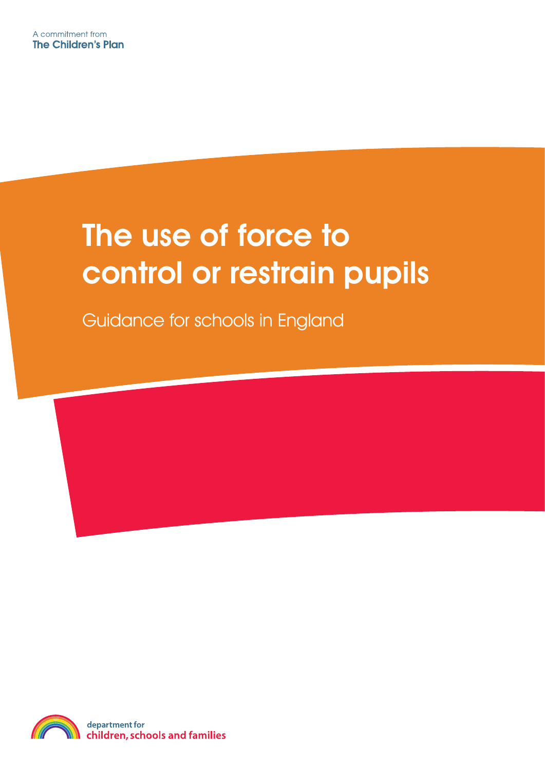# The use of force to control or restrain pupils

Guidance for schools in England

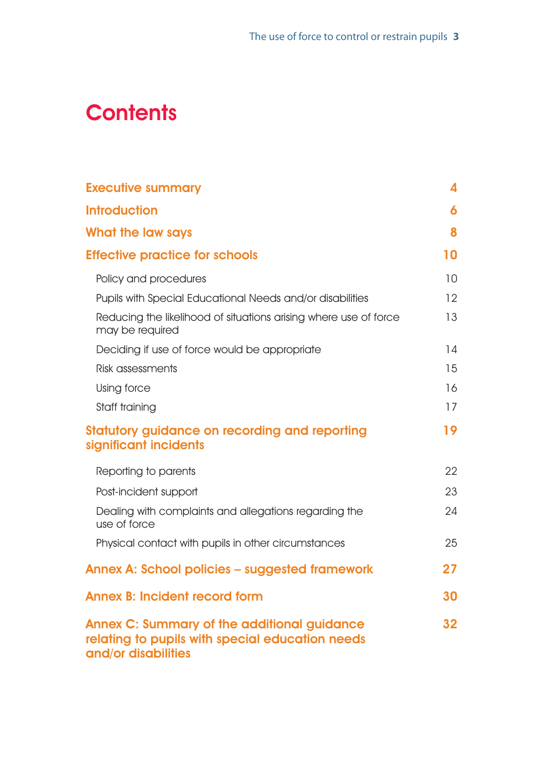## **Contents**

| <b>Executive summary</b>                                                                                                     | 4               |
|------------------------------------------------------------------------------------------------------------------------------|-----------------|
| <b>Introduction</b>                                                                                                          | 6               |
| What the law says                                                                                                            | 8               |
| <b>Effective practice for schools</b>                                                                                        | 10              |
| Policy and procedures                                                                                                        | 10              |
| Pupils with Special Educational Needs and/or disabilities                                                                    | 12              |
| Reducing the likelihood of situations arising where use of force<br>may be required                                          | 13              |
| Deciding if use of force would be appropriate                                                                                | 14              |
| Risk assessments                                                                                                             | 15              |
| Using force                                                                                                                  | 16              |
| Staff training                                                                                                               | 17              |
| <b>Statutory guidance on recording and reporting</b><br>significant incidents                                                | 19              |
| Reporting to parents                                                                                                         | 22              |
| Post-incident support                                                                                                        | 23              |
| Dealing with complaints and allegations regarding the<br>use of force                                                        | 24              |
| Physical contact with pupils in other circumstances                                                                          | 25              |
| <b>Annex A: School policies – suggested framework</b>                                                                        | 27              |
| <b>Annex B: Incident record form</b>                                                                                         | 30              |
| <b>Annex C: Summary of the additional guidance</b><br>relating to pupils with special education needs<br>and/or disabilities | 32 <sub>2</sub> |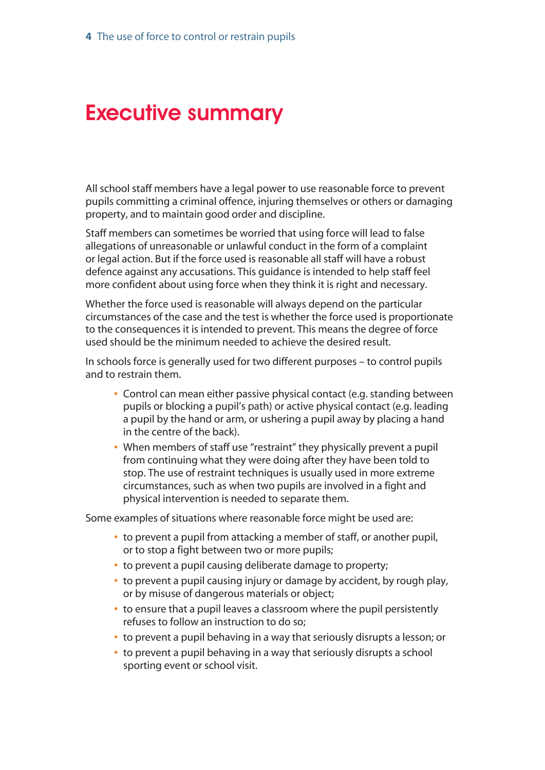## <span id="page-2-0"></span>Executive summary

All school staff members have a legal power to use reasonable force to prevent pupils committing a criminal offence, injuring themselves or others or damaging property, and to maintain good order and discipline.

Staff members can sometimes be worried that using force will lead to false allegations of unreasonable or unlawful conduct in the form of a complaint or legal action. But if the force used is reasonable all staff will have a robust defence against any accusations. This guidance is intended to help staff feel more confident about using force when they think it is right and necessary.

Whether the force used is reasonable will always depend on the particular circumstances of the case and the test is whether the force used is proportionate to the consequences it is intended to prevent. This means the degree of force used should be the minimum needed to achieve the desired result.

In schools force is generally used for two different purposes – to control pupils and to restrain them.

- **•** Control can mean either passive physical contact (e.g. standing between pupils or blocking a pupil's path) or active physical contact (e.g. leading a pupil by the hand or arm, or ushering a pupil away by placing a hand in the centre of the back).
- **•** When members of staff use "restraint" they physically prevent a pupil from continuing what they were doing after they have been told to stop. The use of restraint techniques is usually used in more extreme circumstances, such as when two pupils are involved in a fight and physical intervention is needed to separate them.

Some examples of situations where reasonable force might be used are:

- **•** to prevent a pupil from attacking a member of staff, or another pupil, or to stop a fight between two or more pupils;
- **•** to prevent a pupil causing deliberate damage to property;
- **•** to prevent a pupil causing injury or damage by accident, by rough play, or by misuse of dangerous materials or object;
- **•** to ensure that a pupil leaves a classroom where the pupil persistently refuses to follow an instruction to do so;
- **•** to prevent a pupil behaving in a way that seriously disrupts a lesson; or
- **•** to prevent a pupil behaving in a way that seriously disrupts a school sporting event or school visit.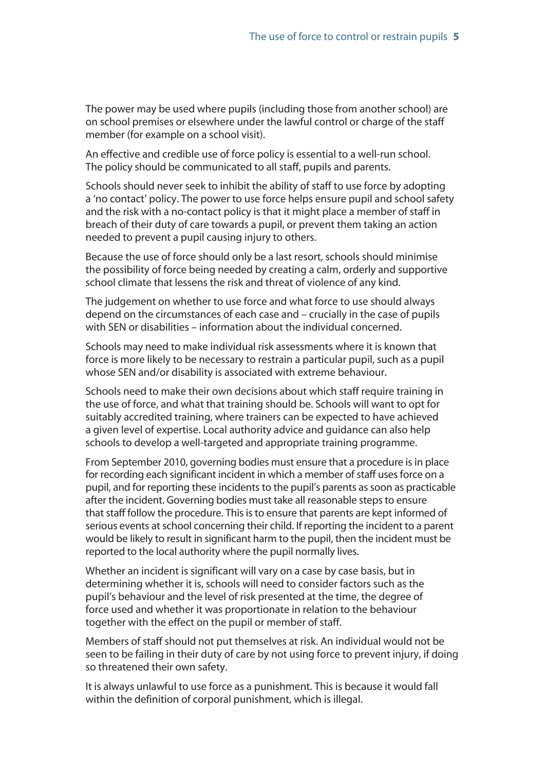The power may be used where pupils (including those from another school) are on school premises or elsewhere under the lawful control or charge of the staff member (for example on a school visit).

An effective and credible use of force policy is essential to a well-run school. The policy should be communicated to all staff, pupils and parents.

Schools should never seek to inhibit the ability of staff to use force by adopting a 'no contact' policy. The power to use force helps ensure pupil and school safety and the risk with a no-contact policy is that it might place a member of staff in breach of their duty of care towards a pupil, or prevent them taking an action needed to prevent a pupil causing injury to others.

Because the use of force should only be a last resort, schools should minimise the possibility of force being needed by creating a calm, orderly and supportive school climate that lessens the risk and threat of violence of any kind.

The judgement on whether to use force and what force to use should always depend on the circumstances of each case and – crucially in the case of pupils with SEN or disabilities – information about the individual concerned.

Schools may need to make individual risk assessments where it is known that force is more likely to be necessary to restrain a particular pupil, such as a pupil whose SEN and/or disability is associated with extreme behaviour.

Schools need to make their own decisions about which staff require training in the use of force, and what that training should be. Schools will want to opt for suitably accredited training, where trainers can be expected to have achieved a given level of expertise. Local authority advice and guidance can also help schools to develop a well-targeted and appropriate training programme.

From September 2010, governing bodies must ensure that a procedure is in place for recording each significant incident in which a member of staff uses force on a pupil, and for reporting these incidents to the pupil's parents as soon as practicable after the incident. Governing bodies must take all reasonable steps to ensure that staff follow the procedure. This is to ensure that parents are kept informed of serious events at school concerning their child. If reporting the incident to a parent would be likely to result in significant harm to the pupil, then the incident must be reported to the local authority where the pupil normally lives.

Whether an incident is significant will vary on a case by case basis, but in determining whether it is, schools will need to consider factors such as the pupil's behaviour and the level of risk presented at the time, the degree of force used and whether it was proportionate in relation to the behaviour together with the effect on the pupil or member of staff.

Members of staff should not put themselves at risk. An individual would not be seen to be failing in their duty of care by not using force to prevent injury, if doing so threatened their own safety.

It is always unlawful to use force as a punishment. This is because it would fall within the definition of corporal punishment, which is illegal.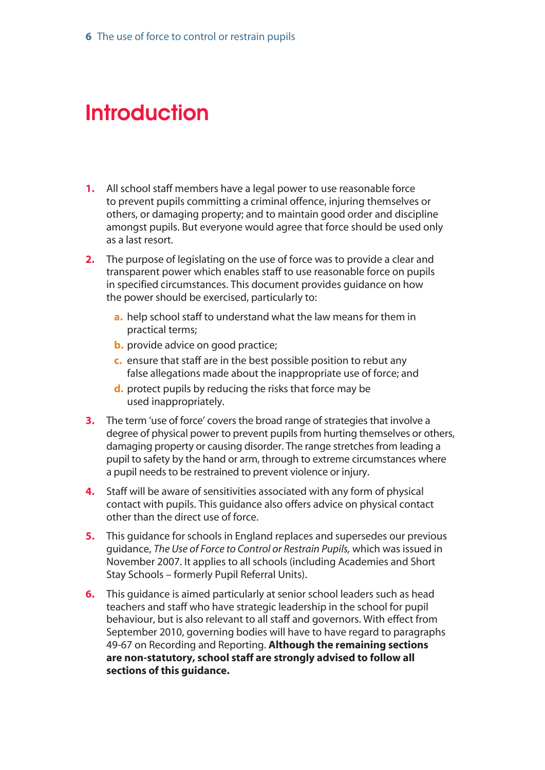## <span id="page-4-0"></span>**Introduction**

- **1.** All school staff members have a legal power to use reasonable force to prevent pupils committing a criminal offence, injuring themselves or others, or damaging property; and to maintain good order and discipline amongst pupils. But everyone would agree that force should be used only as a last resort.
- **2.** The purpose of legislating on the use of force was to provide a clear and transparent power which enables staff to use reasonable force on pupils in specified circumstances. This document provides guidance on how the power should be exercised, particularly to:
	- **a.** help school staff to understand what the law means for them in practical terms;
	- **b.** provide advice on good practice;
	- **c.** ensure that staff are in the best possible position to rebut any false allegations made about the inappropriate use of force; and
	- **d.** protect pupils by reducing the risks that force may be used inappropriately.
- **3.** The term 'use of force' covers the broad range of strategies that involve a degree of physical power to prevent pupils from hurting themselves or others, damaging property or causing disorder. The range stretches from leading a pupil to safety by the hand or arm, through to extreme circumstances where a pupil needs to be restrained to prevent violence or injury.
- **4.** Staff will be aware of sensitivities associated with any form of physical contact with pupils. This guidance also offers advice on physical contact other than the direct use of force.
- **5.** This guidance for schools in England replaces and supersedes our previous guidance, *The Use of Force to Control or Restrain Pupils,* which was issued in November 2007. It applies to all schools (including Academies and Short Stay Schools – formerly Pupil Referral Units).
- **6.** This guidance is aimed particularly at senior school leaders such as head teachers and staff who have strategic leadership in the school for pupil behaviour, but is also relevant to all staff and governors. With effect from September 2010, governing bodies will have to have regard to paragraphs 49-67 on Recording and Reporting. **Although the remaining sections are non-statutory, school staff are strongly advised to follow all sections of this guidance.**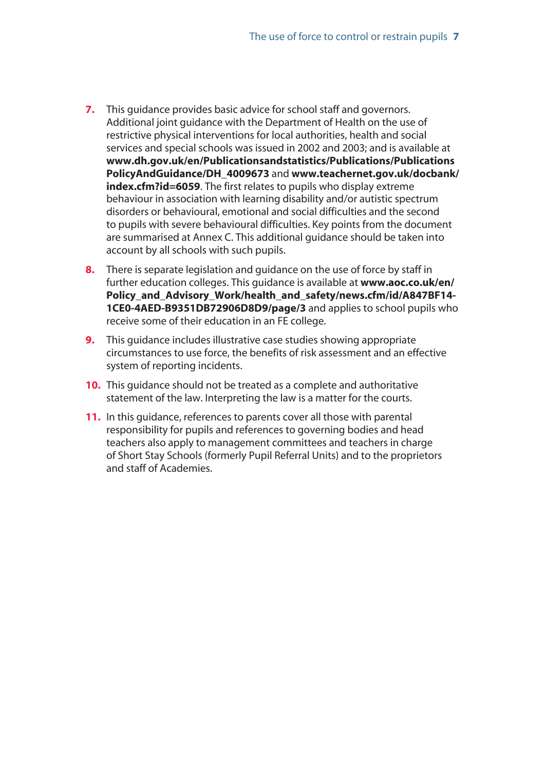- **7.** This guidance provides basic advice for school staff and governors. Additional joint guidance with the Department of Health on the use of restrictive physical interventions for local authorities, health and social services and special schools was issued in 2002 and 2003; and is available at **[www.dh.gov.uk/en/Publicationsandstatistics/Publications/Publications](http://www.dh.gov.uk/en/Publicationsandstatistics/Publications/PublicationsPolicyAndGuidance/DH_4009673) PolicyAndGuidance/DH\_4009673** and **www.teachernet.gov.uk/docbank/ index.cfm?id=6059**. The first relates to pupils who display extreme behaviour in association with learning disability and/or autistic spectrum disorders or behavioural, emotional and social difficulties and the second to pupils with severe behavioural difficulties. Key points from the document are summarised at Annex C. This additional guidance should be taken into account by all schools with such pupils.
- **8.** There is separate legislation and guidance on the use of force by staff in further education colleges. This guidance is available at **www.aoc.co.uk/en/ [Policy\\_and\\_Advisory\\_Work/health\\_and\\_safety/news.cfm/id/A847BF14-](www.aoc.co.uk/en/Policy_and_Advisory_Work/health_and_safety/news.cfm/id/A847BF14-1CE0-4AED-B9351DB72906D8D9/page/3) 1CE0-4AED-B9351DB72906D8D9/page/3** and applies to school pupils who receive some of their education in an FE college.
- **9.** This quidance includes illustrative case studies showing appropriate circumstances to use force, the benefits of risk assessment and an effective system of reporting incidents.
- **10.** This guidance should not be treated as a complete and authoritative statement of the law. Interpreting the law is a matter for the courts.
- **11.** In this guidance, references to parents cover all those with parental responsibility for pupils and references to governing bodies and head teachers also apply to management committees and teachers in charge of Short Stay Schools (formerly Pupil Referral Units) and to the proprietors and staff of Academies.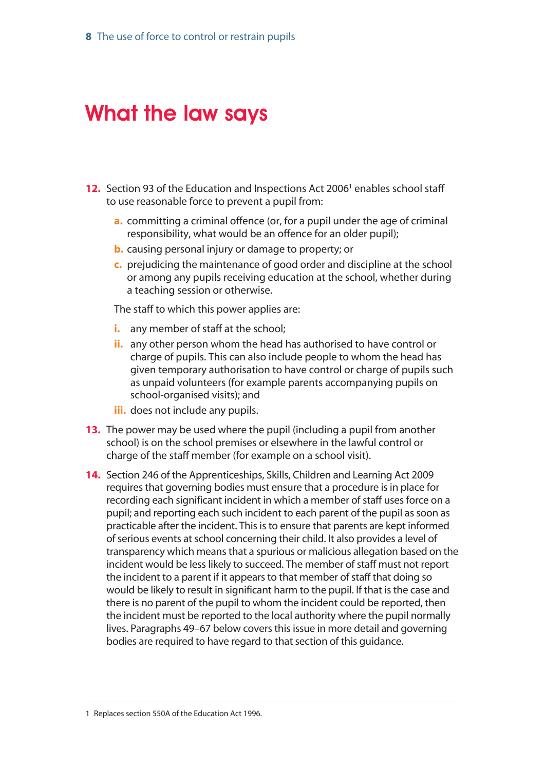## <span id="page-6-0"></span>What the law says

- **12.** Section 93 of the Education and Inspections Act 2006<sup>1</sup> enables school staff to use reasonable force to prevent a pupil from:
	- **a.** committing a criminal offence (or, for a pupil under the age of criminal responsibility, what would be an offence for an older pupil);
	- **b.** causing personal injury or damage to property; or
	- **c.** prejudicing the maintenance of good order and discipline at the school or among any pupils receiving education at the school, whether during a teaching session or otherwise.

The staff to which this power applies are:

- *i.* any member of staff at the school;
- **ii.** any other person whom the head has authorised to have control or charge of pupils. This can also include people to whom the head has given temporary authorisation to have control or charge of pupils such as unpaid volunteers (for example parents accompanying pupils on school-organised visits); and
- **iii.** does not include any pupils.
- **13.** The power may be used where the pupil (including a pupil from another school) is on the school premises or elsewhere in the lawful control or charge of the staff member (for example on a school visit).
- **14.** Section 246 of the Apprenticeships, Skills, Children and Learning Act 2009 requires that governing bodies must ensure that a procedure is in place for recording each significant incident in which a member of staff uses force on a pupil; and reporting each such incident to each parent of the pupil as soon as practicable after the incident. This is to ensure that parents are kept informed of serious events at school concerning their child. It also provides a level of transparency which means that a spurious or malicious allegation based on the incident would be less likely to succeed. The member of staff must not report the incident to a parent if it appears to that member of staff that doing so would be likely to result in significant harm to the pupil. If that is the case and there is no parent of the pupil to whom the incident could be reported, then the incident must be reported to the local authority where the pupil normally lives. Paragraphs 49–67 below covers this issue in more detail and governing bodies are required to have regard to that section of this guidance.

<sup>1</sup> Replaces section 550A of the Education Act 1996.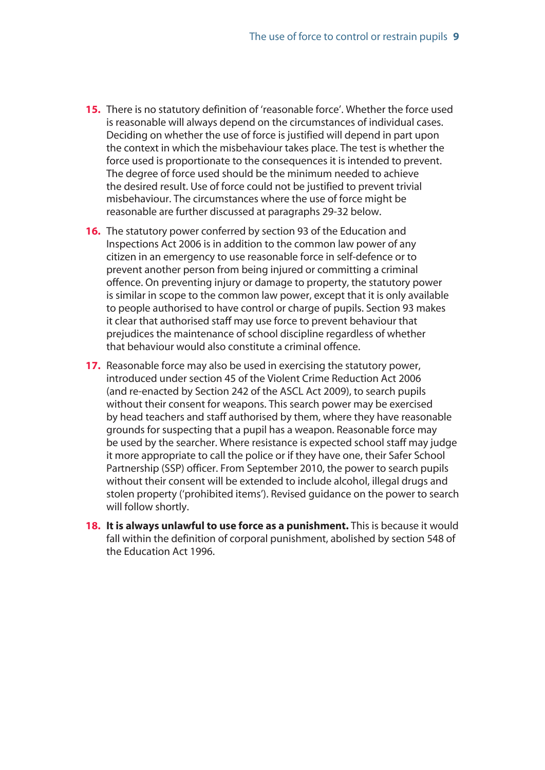- **15.** There is no statutory definition of 'reasonable force'. Whether the force used is reasonable will always depend on the circumstances of individual cases. Deciding on whether the use of force is justified will depend in part upon the context in which the misbehaviour takes place. The test is whether the force used is proportionate to the consequences it is intended to prevent. The degree of force used should be the minimum needed to achieve the desired result. Use of force could not be justified to prevent trivial misbehaviour. The circumstances where the use of force might be reasonable are further discussed at paragraphs 29-32 below.
- **16.** The statutory power conferred by section 93 of the Education and Inspections Act 2006 is in addition to the common law power of any citizen in an emergency to use reasonable force in self-defence or to prevent another person from being injured or committing a criminal offence. On preventing injury or damage to property, the statutory power is similar in scope to the common law power, except that it is only available to people authorised to have control or charge of pupils. Section 93 makes it clear that authorised staff may use force to prevent behaviour that prejudices the maintenance of school discipline regardless of whether that behaviour would also constitute a criminal offence.
- **17.** Reasonable force may also be used in exercising the statutory power, introduced under section 45 of the Violent Crime Reduction Act 2006 (and re-enacted by Section 242 of the ASCL Act 2009), to search pupils without their consent for weapons. This search power may be exercised by head teachers and staff authorised by them, where they have reasonable grounds for suspecting that a pupil has a weapon. Reasonable force may be used by the searcher. Where resistance is expected school staff may judge it more appropriate to call the police or if they have one, their Safer School Partnership (SSP) officer. From September 2010, the power to search pupils without their consent will be extended to include alcohol, illegal drugs and stolen property ('prohibited items'). Revised guidance on the power to search will follow shortly.
- **18. It is always unlawful to use force as a punishment.** This is because it would fall within the definition of corporal punishment, abolished by section 548 of the Education Act 1996.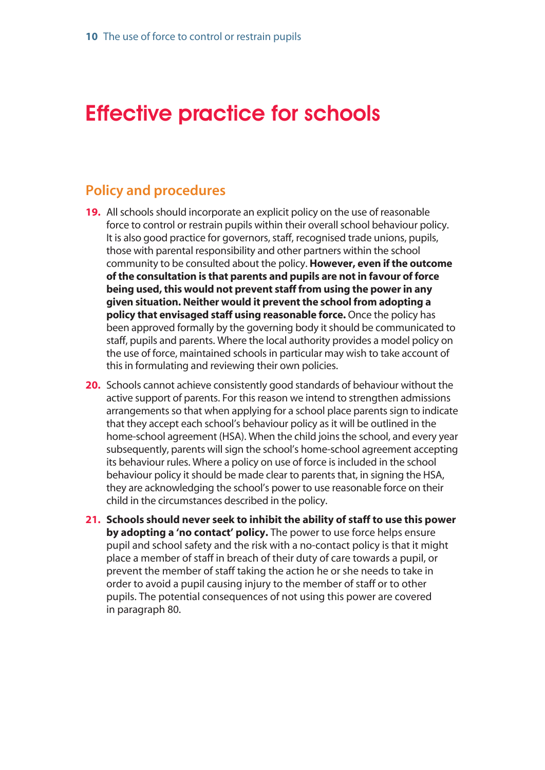## <span id="page-8-0"></span>Effective practice for schools

### **Policy and procedures**

- **19.** All schools should incorporate an explicit policy on the use of reasonable force to control or restrain pupils within their overall school behaviour policy. It is also good practice for governors, staff, recognised trade unions, pupils, those with parental responsibility and other partners within the school community to be consulted about the policy. **However, even if the outcome of the consultation is that parents and pupils are not in favour of force being used, this would not prevent staff from using the power in any given situation. Neither would it prevent the school from adopting a policy that envisaged staff using reasonable force.** Once the policy has been approved formally by the governing body it should be communicated to staff, pupils and parents. Where the local authority provides a model policy on the use of force, maintained schools in particular may wish to take account of this in formulating and reviewing their own policies.
- **20.** Schools cannot achieve consistently good standards of behaviour without the active support of parents. For this reason we intend to strengthen admissions arrangements so that when applying for a school place parents sign to indicate that they accept each school's behaviour policy as it will be outlined in the home-school agreement (HSA). When the child joins the school, and every year subsequently, parents will sign the school's home-school agreement accepting its behaviour rules. Where a policy on use of force is included in the school behaviour policy it should be made clear to parents that, in signing the HSA, they are acknowledging the school's power to use reasonable force on their child in the circumstances described in the policy.
- **21. Schools should never seek to inhibit the ability of staff to use this power by adopting a 'no contact' policy.** The power to use force helps ensure pupil and school safety and the risk with a no-contact policy is that it might place a member of staff in breach of their duty of care towards a pupil, or prevent the member of staff taking the action he or she needs to take in order to avoid a pupil causing injury to the member of staff or to other pupils. The potential consequences of not using this power are covered in paragraph 80.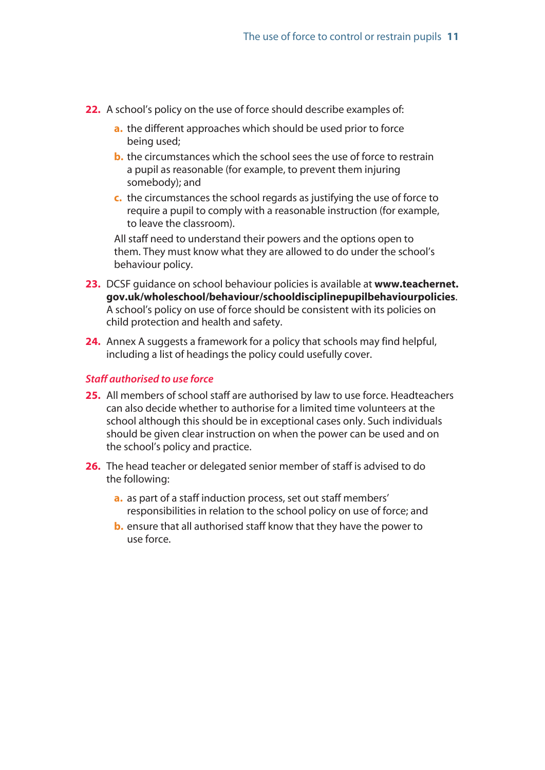- **22.** A school's policy on the use of force should describe examples of:
	- **a.** the different approaches which should be used prior to force being used;
	- **b.** the circumstances which the school sees the use of force to restrain a pupil as reasonable (for example, to prevent them injuring somebody); and
	- **c.** the circumstances the school regards as justifying the use of force to require a pupil to comply with a reasonable instruction (for example, to leave the classroom).

All staff need to understand their powers and the options open to them. They must know what they are allowed to do under the school's behaviour policy.

- **23.** DCSF guidance on school behaviour policies is available at **www.teachernet. [gov.uk/wholeschool/behaviour/schooldisciplinepupilbehaviourpolicies](www.teachernet.gov.uk/wholeschool/behaviour/schooldisciplinepupilbehaviourpolicies)**. A school's policy on use of force should be consistent with its policies on child protection and health and safety.
- **24.** Annex A suggests a framework for a policy that schools may find helpful, including a list of headings the policy could usefully cover.

#### *Staff authorised to use force*

- **25.** All members of school staff are authorised by law to use force. Headteachers can also decide whether to authorise for a limited time volunteers at the school although this should be in exceptional cases only. Such individuals should be given clear instruction on when the power can be used and on the school's policy and practice.
- **26.** The head teacher or delegated senior member of staff is advised to do the following:
	- **a.** as part of a staff induction process, set out staff members' responsibilities in relation to the school policy on use of force; and
	- **b.** ensure that all authorised staff know that they have the power to use force.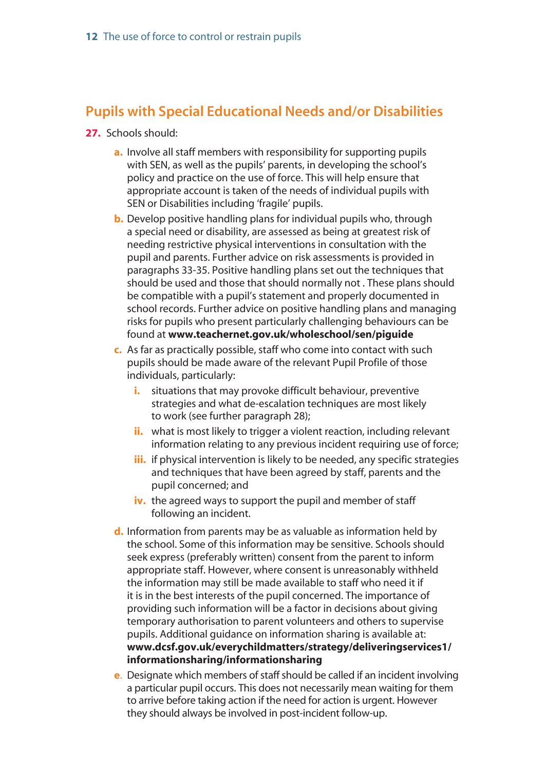### <span id="page-10-0"></span>**Pupils with Special Educational Needs and/or Disabilities**

- **27.** Schools should:
	- **a.** Involve all staff members with responsibility for supporting pupils with SEN, as well as the pupils' parents, in developing the school's policy and practice on the use of force. This will help ensure that appropriate account is taken of the needs of individual pupils with SEN or Disabilities including 'fragile' pupils.
	- **b.** Develop positive handling plans for individual pupils who, through a special need or disability, are assessed as being at greatest risk of needing restrictive physical interventions in consultation with the pupil and parents. Further advice on risk assessments is provided in paragraphs 33-35. Positive handling plans set out the techniques that should be used and those that should normally not . These plans should be compatible with a pupil's statement and properly documented in school records. Further advice on positive handling plans and managing risks for pupils who present particularly challenging behaviours can be found at **[www.teachernet.gov.uk/wholeschool/sen/piguide](http://www.teachernet.gov.uk/wholeschool/sen/piguide)**
	- **c.** As far as practically possible, staff who come into contact with such pupils should be made aware of the relevant Pupil Profile of those individuals, particularly:
		- **i.** situations that may provoke difficult behaviour, preventive strategies and what de-escalation techniques are most likely to work (see further paragraph 28);
		- **ii.** what is most likely to trigger a violent reaction, including relevant information relating to any previous incident requiring use of force;
		- **iii.** if physical intervention is likely to be needed, any specific strategies and techniques that have been agreed by staff, parents and the pupil concerned; and
		- iv. the agreed ways to support the pupil and member of staff following an incident.
	- **d.** Information from parents may be as valuable as information held by the school. Some of this information may be sensitive. Schools should seek express (preferably written) consent from the parent to inform appropriate staff. However, where consent is unreasonably withheld the information may still be made available to staff who need it if it is in the best interests of the pupil concerned. The importance of providing such information will be a factor in decisions about giving temporary authorisation to parent volunteers and others to supervise pupils. Additional guidance on information sharing is available at: **[www.dcsf.gov.uk/everychildmatters/strategy/deliveringservices1/](www.dcsf.gov.uk/everychildmatters/strategy/deliveringservices1/informationsharing/informationsharing) informationsharing/informationsharing**
	- **e**. Designate which members of staff should be called if an incident involving a particular pupil occurs. This does not necessarily mean waiting for them to arrive before taking action if the need for action is urgent. However they should always be involved in post-incident follow-up.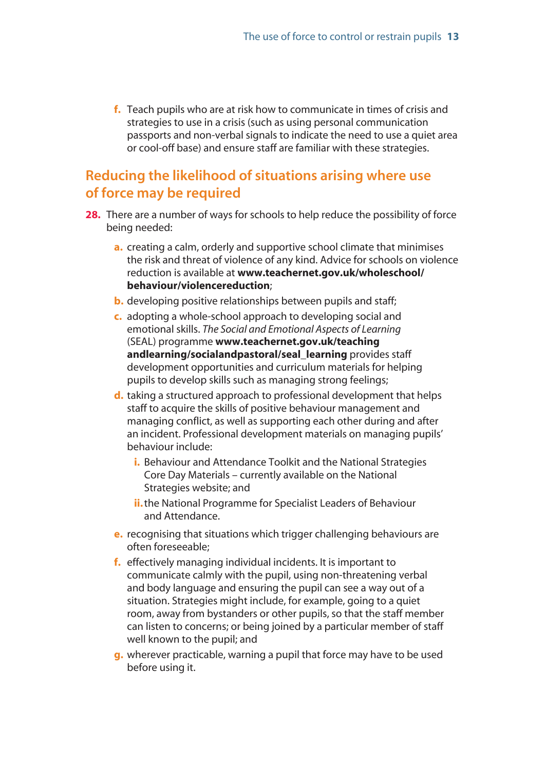<span id="page-11-0"></span>**f.** Teach pupils who are at risk how to communicate in times of crisis and strategies to use in a crisis (such as using personal communication passports and non-verbal signals to indicate the need to use a quiet area or cool-off base) and ensure staff are familiar with these strategies.

### **Reducing the likelihood of situations arising where use of force may be required**

- **28.** There are a number of ways for schools to help reduce the possibility of force being needed:
	- **a.** creating a calm, orderly and supportive school climate that minimises the risk and threat of violence of any kind. Advice for schools on violence reduction is available at **[www.teachernet.gov.uk/wholeschool/](www.teachernet.gov.uk/wholeschool/behaviour/violencereduction) behaviour/violencereduction**;
	- **b.** developing positive relationships between pupils and staff;
	- **c.** adopting a whole-school approach to developing social and emotional skills. *The Social and Emotional Aspects of Learning* (SEAL) programme **www.teachernet.gov.uk/teaching [andlearning/socialandpastoral/seal\\_learning](www.teachernet.gov.uk/teachingandlearning/socialandpastoral/seal_learning)** provides staff development opportunities and curriculum materials for helping pupils to develop skills such as managing strong feelings;
	- **d.** taking a structured approach to professional development that helps staff to acquire the skills of positive behaviour management and managing conflict, as well as supporting each other during and after an incident. Professional development materials on managing pupils' behaviour include:
		- **i.** Behaviour and Attendance Toolkit and the National Strategies Core Day Materials – currently available on the National Strategies website; and
		- **ii.** the National Programme for Specialist Leaders of Behaviour and Attendance.
	- **e.** recognising that situations which trigger challenging behaviours are often foreseeable;
	- **f.** effectively managing individual incidents. It is important to communicate calmly with the pupil, using non-threatening verbal and body language and ensuring the pupil can see a way out of a situation. Strategies might include, for example, going to a quiet room, away from bystanders or other pupils, so that the staff member can listen to concerns; or being joined by a particular member of staff well known to the pupil; and
	- **g.** wherever practicable, warning a pupil that force may have to be used before using it.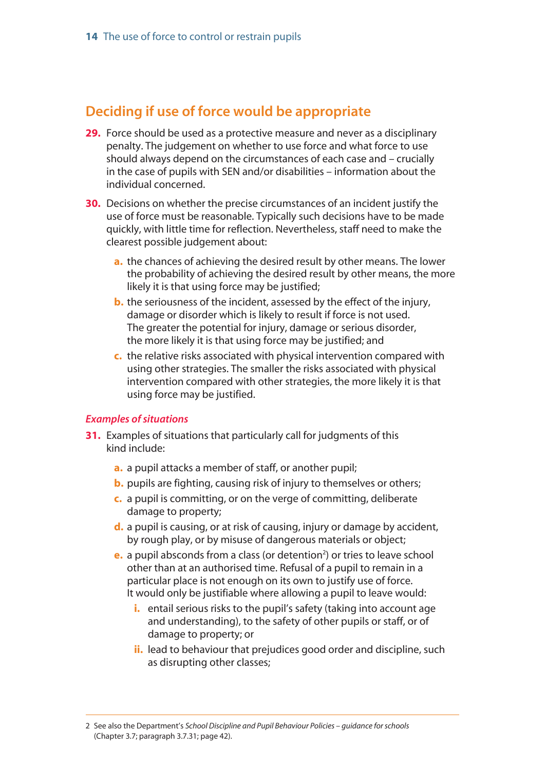### <span id="page-12-0"></span>**Deciding if use of force would be appropriate**

- **29.** Force should be used as a protective measure and never as a disciplinary penalty. The judgement on whether to use force and what force to use should always depend on the circumstances of each case and – crucially in the case of pupils with SEN and/or disabilities – information about the individual concerned.
- **30.** Decisions on whether the precise circumstances of an incident justify the use of force must be reasonable. Typically such decisions have to be made quickly, with little time for reflection. Nevertheless, staff need to make the clearest possible judgement about:
	- **a.** the chances of achieving the desired result by other means. The lower the probability of achieving the desired result by other means, the more likely it is that using force may be justified;
	- **b.** the seriousness of the incident, assessed by the effect of the injury, damage or disorder which is likely to result if force is not used. The greater the potential for injury, damage or serious disorder, the more likely it is that using force may be justified; and
	- **c.** the relative risks associated with physical intervention compared with using other strategies. The smaller the risks associated with physical intervention compared with other strategies, the more likely it is that using force may be justified.

#### *Examples of situations*

- **31.** Examples of situations that particularly call for judgments of this kind include:
	- **a.** a pupil attacks a member of staff, or another pupil;
	- **b.** pupils are fighting, causing risk of injury to themselves or others;
	- **c.** a pupil is committing, or on the verge of committing, deliberate damage to property;
	- **d.** a pupil is causing, or at risk of causing, injury or damage by accident, by rough play, or by misuse of dangerous materials or object;
	- **e.** a pupil absconds from a class (or detention<sup>2</sup>) or tries to leave school other than at an authorised time. Refusal of a pupil to remain in a particular place is not enough on its own to justify use of force. It would only be justifiable where allowing a pupil to leave would:
		- **i.** entail serious risks to the pupil's safety (taking into account age and understanding), to the safety of other pupils or staff, or of damage to property; or
		- **ii.** lead to behaviour that prejudices good order and discipline, such as disrupting other classes;

<sup>2</sup> See also the Department's *School Discipline and Pupil Behaviour Policies – guidance for schools* (Chapter 3.7; paragraph 3.7.31; page 42).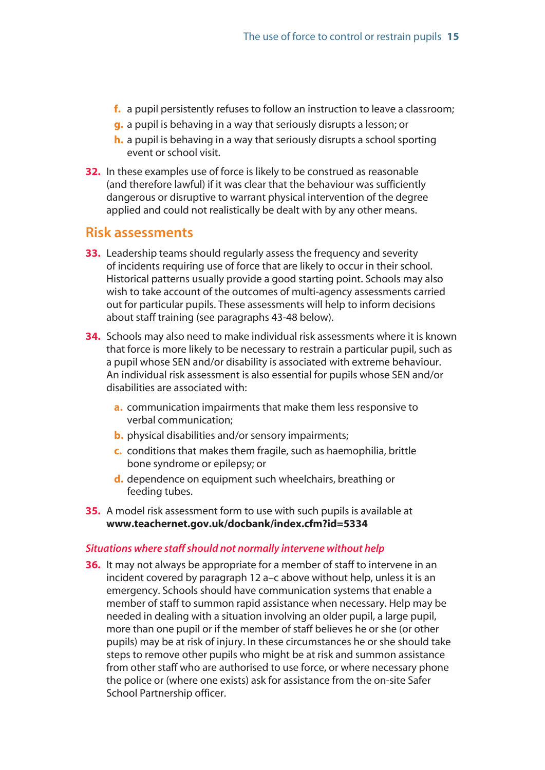- <span id="page-13-0"></span>**f.** a pupil persistently refuses to follow an instruction to leave a classroom;
- **g.** a pupil is behaving in a way that seriously disrupts a lesson; or
- **h.** a pupil is behaving in a way that seriously disrupts a school sporting event or school visit.
- **32.** In these examples use of force is likely to be construed as reasonable (and therefore lawful) if it was clear that the behaviour was sufficiently dangerous or disruptive to warrant physical intervention of the degree applied and could not realistically be dealt with by any other means.

#### **Risk assessments**

- **33.** Leadership teams should regularly assess the frequency and severity of incidents requiring use of force that are likely to occur in their school. Historical patterns usually provide a good starting point. Schools may also wish to take account of the outcomes of multi-agency assessments carried out for particular pupils. These assessments will help to inform decisions about staff training (see paragraphs 43-48 below).
- **34.** Schools may also need to make individual risk assessments where it is known that force is more likely to be necessary to restrain a particular pupil, such as a pupil whose SEN and/or disability is associated with extreme behaviour. An individual risk assessment is also essential for pupils whose SEN and/or disabilities are associated with:
	- **a.** communication impairments that make them less responsive to verbal communication;
	- **b.** physical disabilities and/or sensory impairments;
	- **c.** conditions that makes them fragile, such as haemophilia, brittle bone syndrome or epilepsy; or
	- **d.** dependence on equipment such wheelchairs, breathing or feeding tubes.
- **35.** A model risk assessment form to use with such pupils is available at **[www.teachernet.gov.uk/docbank/index.cfm?id=5334](http://www.teachernet.gov.uk/docbank/index.cfm?id=5334)**

#### *Situations where staff should not normally intervene without help*

**36.** It may not always be appropriate for a member of staff to intervene in an incident covered by paragraph 12 a–c above without help, unless it is an emergency. Schools should have communication systems that enable a member of staff to summon rapid assistance when necessary. Help may be needed in dealing with a situation involving an older pupil, a large pupil, more than one pupil or if the member of staff believes he or she (or other pupils) may be at risk of injury. In these circumstances he or she should take steps to remove other pupils who might be at risk and summon assistance from other staff who are authorised to use force, or where necessary phone the police or (where one exists) ask for assistance from the on-site Safer School Partnership officer.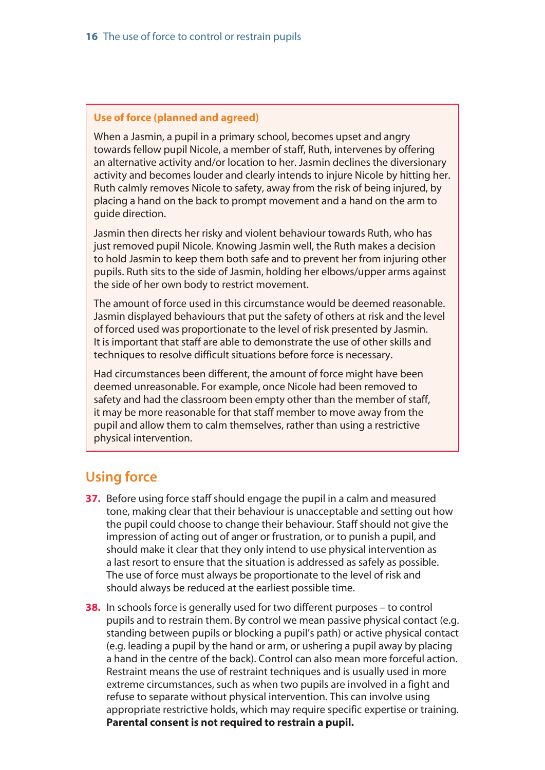#### <span id="page-14-0"></span>**Use of force (planned and agreed)**

When a Jasmin, a pupil in a primary school, becomes upset and angry towards fellow pupil Nicole, a member of staff, Ruth, intervenes by offering an alternative activity and/or location to her. Jasmin declines the diversionary activity and becomes louder and clearly intends to injure Nicole by hitting her. Ruth calmly removes Nicole to safety, away from the risk of being injured, by placing a hand on the back to prompt movement and a hand on the arm to guide direction.

Jasmin then directs her risky and violent behaviour towards Ruth, who has just removed pupil Nicole. Knowing Jasmin well, the Ruth makes a decision to hold Jasmin to keep them both safe and to prevent her from injuring other pupils. Ruth sits to the side of Jasmin, holding her elbows/upper arms against the side of her own body to restrict movement.

The amount of force used in this circumstance would be deemed reasonable. Jasmin displayed behaviours that put the safety of others at risk and the level of forced used was proportionate to the level of risk presented by Jasmin. It is important that staff are able to demonstrate the use of other skills and techniques to resolve difficult situations before force is necessary.

Had circumstances been different, the amount of force might have been deemed unreasonable. For example, once Nicole had been removed to safety and had the classroom been empty other than the member of staff, it may be more reasonable for that staff member to move away from the pupil and allow them to calm themselves, rather than using a restrictive physical intervention.

### **Using force**

- **37.** Before using force staff should engage the pupil in a calm and measured tone, making clear that their behaviour is unacceptable and setting out how the pupil could choose to change their behaviour. Staff should not give the impression of acting out of anger or frustration, or to punish a pupil, and should make it clear that they only intend to use physical intervention as a last resort to ensure that the situation is addressed as safely as possible. The use of force must always be proportionate to the level of risk and should always be reduced at the earliest possible time.
- **38.** In schools force is generally used for two different purposes to control pupils and to restrain them. By control we mean passive physical contact (e.g. standing between pupils or blocking a pupil's path) or active physical contact (e.g. leading a pupil by the hand or arm, or ushering a pupil away by placing a hand in the centre of the back). Control can also mean more forceful action. Restraint means the use of restraint techniques and is usually used in more extreme circumstances, such as when two pupils are involved in a fight and refuse to separate without physical intervention. This can involve using appropriate restrictive holds, which may require specific expertise or training. **Parental consent is not required to restrain a pupil.**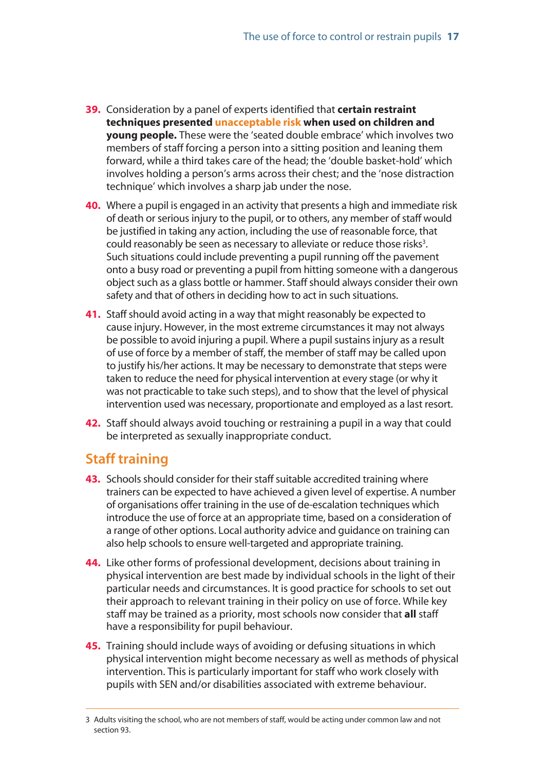- <span id="page-15-0"></span>**39.** Consideration by a panel of experts identified that **certain restraint techniques presented unacceptable risk when used on children and young people.** These were the 'seated double embrace' which involves two members of staff forcing a person into a sitting position and leaning them forward, while a third takes care of the head; the 'double basket-hold' which involves holding a person's arms across their chest; and the 'nose distraction technique' which involves a sharp jab under the nose.
- **40.** Where a pupil is engaged in an activity that presents a high and immediate risk of death or serious injury to the pupil, or to others, any member of staff would be justified in taking any action, including the use of reasonable force, that could reasonably be seen as necessary to alleviate or reduce those risks<sup>3</sup>. Such situations could include preventing a pupil running off the pavement onto a busy road or preventing a pupil from hitting someone with a dangerous object such as a glass bottle or hammer. Staff should always consider their own safety and that of others in deciding how to act in such situations.
- **41.** Staff should avoid acting in a way that might reasonably be expected to cause injury. However, in the most extreme circumstances it may not always be possible to avoid injuring a pupil. Where a pupil sustains injury as a result of use of force by a member of staff, the member of staff may be called upon to justify his/her actions. It may be necessary to demonstrate that steps were taken to reduce the need for physical intervention at every stage (or why it was not practicable to take such steps), and to show that the level of physical intervention used was necessary, proportionate and employed as a last resort.
- **42.** Staff should always avoid touching or restraining a pupil in a way that could be interpreted as sexually inappropriate conduct.

### **Staff training**

- **43.** Schools should consider for their staff suitable accredited training where trainers can be expected to have achieved a given level of expertise. A number of organisations offer training in the use of de-escalation techniques which introduce the use of force at an appropriate time, based on a consideration of a range of other options. Local authority advice and guidance on training can also help schools to ensure well-targeted and appropriate training.
- **44.** Like other forms of professional development, decisions about training in physical intervention are best made by individual schools in the light of their particular needs and circumstances. It is good practice for schools to set out their approach to relevant training in their policy on use of force. While key staff may be trained as a priority, most schools now consider that **all** staff have a responsibility for pupil behaviour.
- **45.** Training should include ways of avoiding or defusing situations in which physical intervention might become necessary as well as methods of physical intervention. This is particularly important for staff who work closely with pupils with SEN and/or disabilities associated with extreme behaviour.

<sup>3</sup> Adults visiting the school, who are not members of staff, would be acting under common law and not section 93.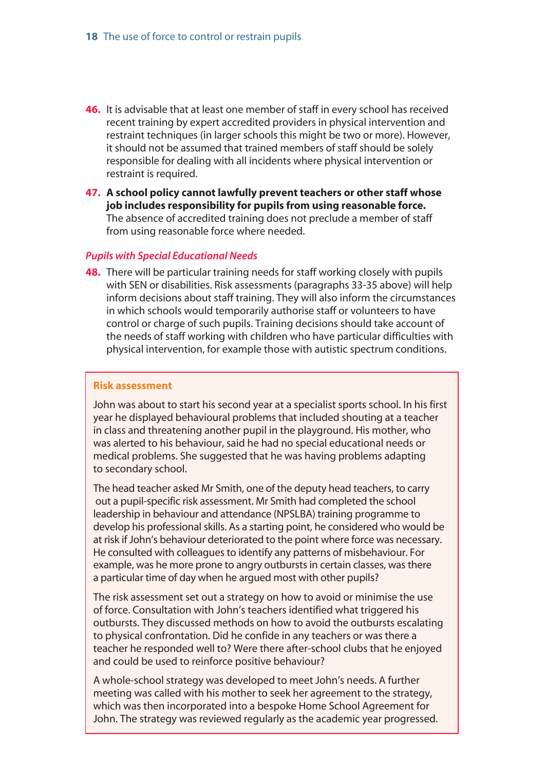- **46.** It is advisable that at least one member of staff in every school has received recent training by expert accredited providers in physical intervention and restraint techniques (in larger schools this might be two or more). However, it should not be assumed that trained members of staff should be solely responsible for dealing with all incidents where physical intervention or restraint is required.
- **47. A school policy cannot lawfully prevent teachers or other staff whose job includes responsibility for pupils from using reasonable force.** The absence of accredited training does not preclude a member of staff from using reasonable force where needed.

#### *Pupils with Special Educational Needs*

**48.** There will be particular training needs for staff working closely with pupils with SEN or disabilities. Risk assessments (paragraphs 33-35 above) will help inform decisions about staff training. They will also inform the circumstances in which schools would temporarily authorise staff or volunteers to have control or charge of such pupils. Training decisions should take account of the needs of staff working with children who have particular difficulties with physical intervention, for example those with autistic spectrum conditions.

#### **Risk assessment**

John was about to start his second year at a specialist sports school. In his first year he displayed behavioural problems that included shouting at a teacher in class and threatening another pupil in the playground. His mother, who was alerted to his behaviour, said he had no special educational needs or medical problems. She suggested that he was having problems adapting to secondary school.

The head teacher asked Mr Smith, one of the deputy head teachers, to carry out a pupil-specific risk assessment. Mr Smith had completed the school leadership in behaviour and attendance (NPSLBA) training programme to develop his professional skills. As a starting point, he considered who would be at risk if John's behaviour deteriorated to the point where force was necessary. He consulted with colleagues to identify any patterns of misbehaviour. For example, was he more prone to angry outbursts in certain classes, was there a particular time of day when he argued most with other pupils?

The risk assessment set out a strategy on how to avoid or minimise the use of force. Consultation with John's teachers identified what triggered his outbursts. They discussed methods on how to avoid the outbursts escalating to physical confrontation. Did he confide in any teachers or was there a teacher he responded well to? Were there after-school clubs that he enjoyed and could be used to reinforce positive behaviour?

A whole-school strategy was developed to meet John's needs. A further meeting was called with his mother to seek her agreement to the strategy, which was then incorporated into a bespoke Home School Agreement for John. The strategy was reviewed regularly as the academic year progressed.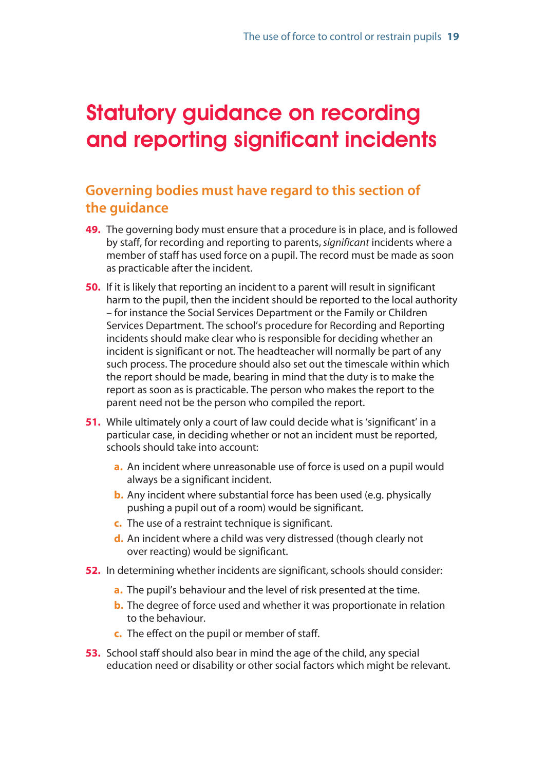## <span id="page-17-0"></span>Statutory guidance on recording and reporting significant incidents

## **Governing bodies must have regard to this section of the guidance**

- **49.** The governing body must ensure that a procedure is in place, and is followed by staff, for recording and reporting to parents, *significant* incidents where a member of staff has used force on a pupil. The record must be made as soon as practicable after the incident.
- **50.** If it is likely that reporting an incident to a parent will result in significant harm to the pupil, then the incident should be reported to the local authority – for instance the Social Services Department or the Family or Children Services Department. The school's procedure for Recording and Reporting incidents should make clear who is responsible for deciding whether an incident is significant or not. The headteacher will normally be part of any such process. The procedure should also set out the timescale within which the report should be made, bearing in mind that the duty is to make the report as soon as is practicable. The person who makes the report to the parent need not be the person who compiled the report.
- **51.** While ultimately only a court of law could decide what is 'significant' in a particular case, in deciding whether or not an incident must be reported, schools should take into account:
	- **a.** An incident where unreasonable use of force is used on a pupil would always be a significant incident.
	- **b.** Any incident where substantial force has been used (e.g. physically pushing a pupil out of a room) would be significant.
	- **c.** The use of a restraint technique is significant.
	- **d.** An incident where a child was very distressed (though clearly not over reacting) would be significant.
- **52.** In determining whether incidents are significant, schools should consider:
	- **a.** The pupil's behaviour and the level of risk presented at the time.
	- **b.** The degree of force used and whether it was proportionate in relation to the behaviour.
	- **c.** The effect on the pupil or member of staff.
- **53.** School staff should also bear in mind the age of the child, any special education need or disability or other social factors which might be relevant.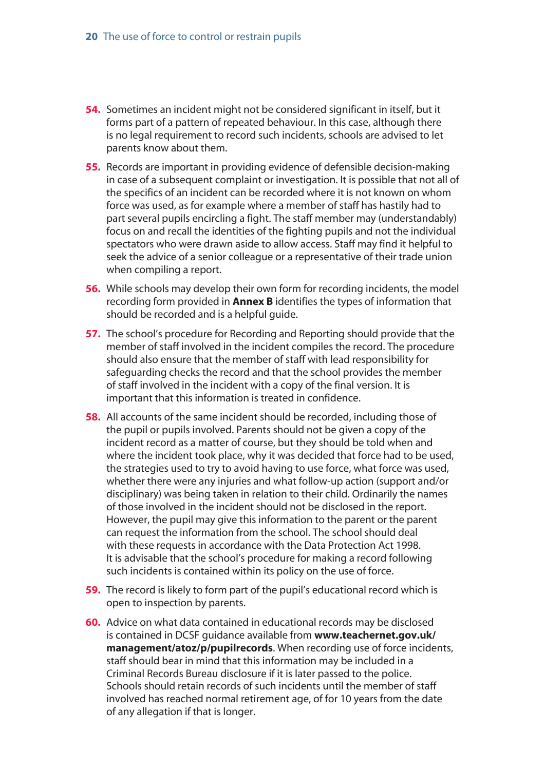- **54.** Sometimes an incident might not be considered significant in itself, but it forms part of a pattern of repeated behaviour. In this case, although there is no legal requirement to record such incidents, schools are advised to let parents know about them.
- **55.** Records are important in providing evidence of defensible decision-making in case of a subsequent complaint or investigation. It is possible that not all of the specifics of an incident can be recorded where it is not known on whom force was used, as for example where a member of staff has hastily had to part several pupils encircling a fight. The staff member may (understandably) focus on and recall the identities of the fighting pupils and not the individual spectators who were drawn aside to allow access. Staff may find it helpful to seek the advice of a senior colleague or a representative of their trade union when compiling a report.
- **56.** While schools may develop their own form for recording incidents, the model recording form provided in **Annex B** identifies the types of information that should be recorded and is a helpful guide.
- **57.** The school's procedure for Recording and Reporting should provide that the member of staff involved in the incident compiles the record. The procedure should also ensure that the member of staff with lead responsibility for safeguarding checks the record and that the school provides the member of staff involved in the incident with a copy of the final version. It is important that this information is treated in confidence.
- **58.** All accounts of the same incident should be recorded, including those of the pupil or pupils involved. Parents should not be given a copy of the incident record as a matter of course, but they should be told when and where the incident took place, why it was decided that force had to be used, the strategies used to try to avoid having to use force, what force was used, whether there were any injuries and what follow-up action (support and/or disciplinary) was being taken in relation to their child. Ordinarily the names of those involved in the incident should not be disclosed in the report. However, the pupil may give this information to the parent or the parent can request the information from the school. The school should deal with these requests in accordance with the Data Protection Act 1998. It is advisable that the school's procedure for making a record following such incidents is contained within its policy on the use of force.
- **59.** The record is likely to form part of the pupil's educational record which is open to inspection by parents.
- **60.** Advice on what data contained in educational records may be disclosed [is contained in DCSF guidance available from](www.teachernet.gov.uk/management/atoz/p/pupilrecords) **www.teachernet.gov.uk/ management/atoz/p/pupilrecords**. When recording use of force incidents, staff should bear in mind that this information may be included in a Criminal Records Bureau disclosure if it is later passed to the police. Schools should retain records of such incidents until the member of staff involved has reached normal retirement age, of for 10 years from the date of any allegation if that is longer.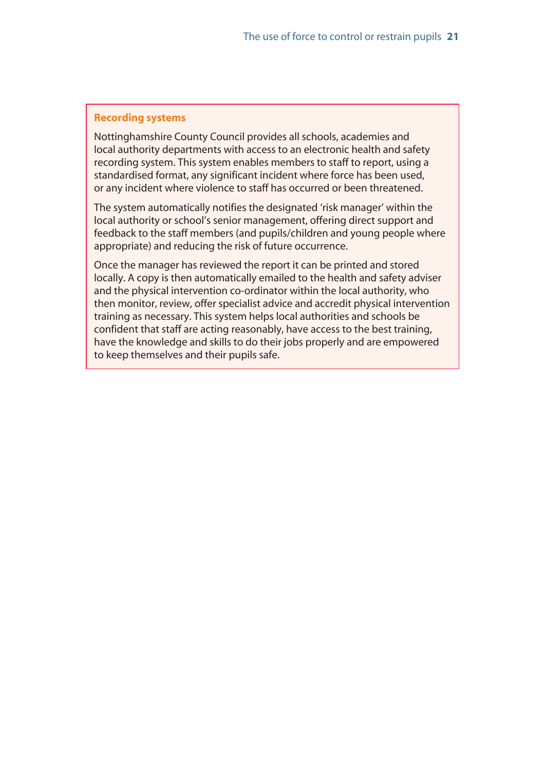#### **Recording systems**

Nottinghamshire County Council provides all schools, academies and local authority departments with access to an electronic health and safety recording system. This system enables members to staff to report, using a standardised format, any significant incident where force has been used, or any incident where violence to staff has occurred or been threatened.

The system automatically notifies the designated 'risk manager' within the local authority or school's senior management, offering direct support and feedback to the staff members (and pupils/children and young people where appropriate) and reducing the risk of future occurrence.

Once the manager has reviewed the report it can be printed and stored locally. A copy is then automatically emailed to the health and safety adviser and the physical intervention co-ordinator within the local authority, who then monitor, review, offer specialist advice and accredit physical intervention training as necessary. This system helps local authorities and schools be confident that staff are acting reasonably, have access to the best training, have the knowledge and skills to do their jobs properly and are empowered to keep themselves and their pupils safe.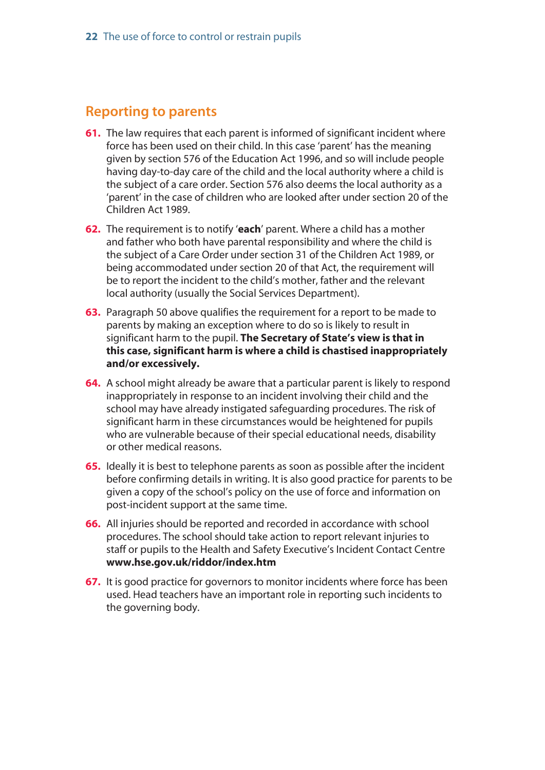### <span id="page-20-0"></span>**Reporting to parents**

- **61.** The law requires that each parent is informed of significant incident where force has been used on their child. In this case 'parent' has the meaning given by section 576 of the Education Act 1996, and so will include people having day-to-day care of the child and the local authority where a child is the subject of a care order. Section 576 also deems the local authority as a 'parent' in the case of children who are looked after under section 20 of the Children Act 1989.
- **62.** The requirement is to notify '**each**' parent. Where a child has a mother and father who both have parental responsibility and where the child is the subject of a Care Order under section 31 of the Children Act 1989, or being accommodated under section 20 of that Act, the requirement will be to report the incident to the child's mother, father and the relevant local authority (usually the Social Services Department).
- **63.** Paragraph 50 above qualifies the requirement for a report to be made to parents by making an exception where to do so is likely to result in significant harm to the pupil. **The Secretary of State's view is that in this case, significant harm is where a child is chastised inappropriately and/or excessively.**
- **64.** A school might already be aware that a particular parent is likely to respond inappropriately in response to an incident involving their child and the school may have already instigated safeguarding procedures. The risk of significant harm in these circumstances would be heightened for pupils who are vulnerable because of their special educational needs, disability or other medical reasons.
- **65.** Ideally it is best to telephone parents as soon as possible after the incident before confirming details in writing. It is also good practice for parents to be given a copy of the school's policy on the use of force and information on post-incident support at the same time.
- **66.** All injuries should be reported and recorded in accordance with school procedures. The school should take action to report relevant injuries to staff or pupils to the Health and Safety Executive's Incident Contact Centre **[www.hse.gov.uk/riddor/index.htm](http://www.hse.gov.uk/riddor/index.htm)**
- **67.** It is good practice for governors to monitor incidents where force has been used. Head teachers have an important role in reporting such incidents to the governing body.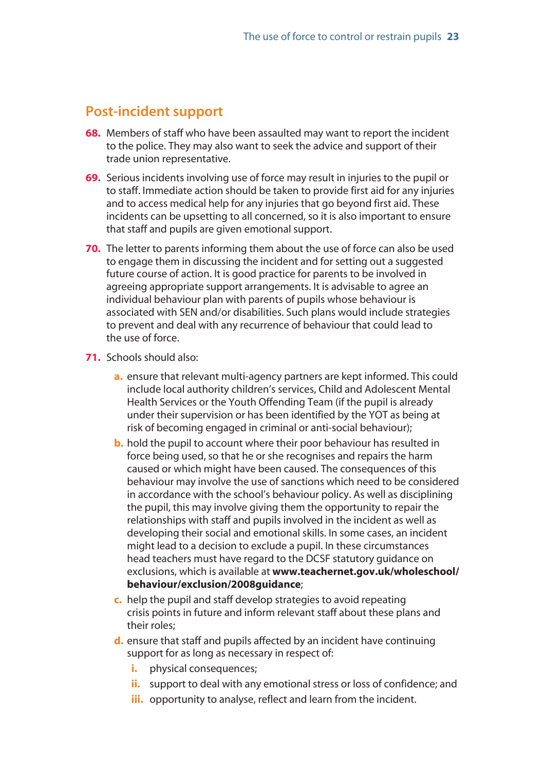### <span id="page-21-0"></span>**Post-incident support**

- **68.** Members of staff who have been assaulted may want to report the incident to the police. They may also want to seek the advice and support of their trade union representative.
- **69.** Serious incidents involving use of force may result in injuries to the pupil or to staff. Immediate action should be taken to provide first aid for any injuries and to access medical help for any injuries that go beyond first aid. These incidents can be upsetting to all concerned, so it is also important to ensure that staff and pupils are given emotional support.
- **70.** The letter to parents informing them about the use of force can also be used to engage them in discussing the incident and for setting out a suggested future course of action. It is good practice for parents to be involved in agreeing appropriate support arrangements. It is advisable to agree an individual behaviour plan with parents of pupils whose behaviour is associated with SEN and/or disabilities. Such plans would include strategies to prevent and deal with any recurrence of behaviour that could lead to the use of force.
- **71.** Schools should also:
	- **a.** ensure that relevant multi-agency partners are kept informed. This could include local authority children's services, Child and Adolescent Mental Health Services or the Youth Offending Team (if the pupil is already under their supervision or has been identified by the YOT as being at risk of becoming engaged in criminal or anti-social behaviour);
	- **b.** hold the pupil to account where their poor behaviour has resulted in force being used, so that he or she recognises and repairs the harm caused or which might have been caused. The consequences of this behaviour may involve the use of sanctions which need to be considered in accordance with the school's behaviour policy. As well as disciplining the pupil, this may involve giving them the opportunity to repair the relationships with staff and pupils involved in the incident as well as developing their social and emotional skills. In some cases, an incident might lead to a decision to exclude a pupil. In these circumstances head teachers must have regard to the DCSF statutory guidance on exclusions, which is available at **[www.teachernet.gov.uk/wholeschool/](www.teachernet.gov.uk/wholeschool/behaviour/exclusion/2008guidance) behaviour/exclusion/2008guidance**;
	- **c.** help the pupil and staff develop strategies to avoid repeating crisis points in future and inform relevant staff about these plans and their roles;
	- **d.** ensure that staff and pupils affected by an incident have continuing support for as long as necessary in respect of:
		- *i.* physical consequences;
		- **ii.** support to deal with any emotional stress or loss of confidence; and
		- **iii.** opportunity to analyse, reflect and learn from the incident.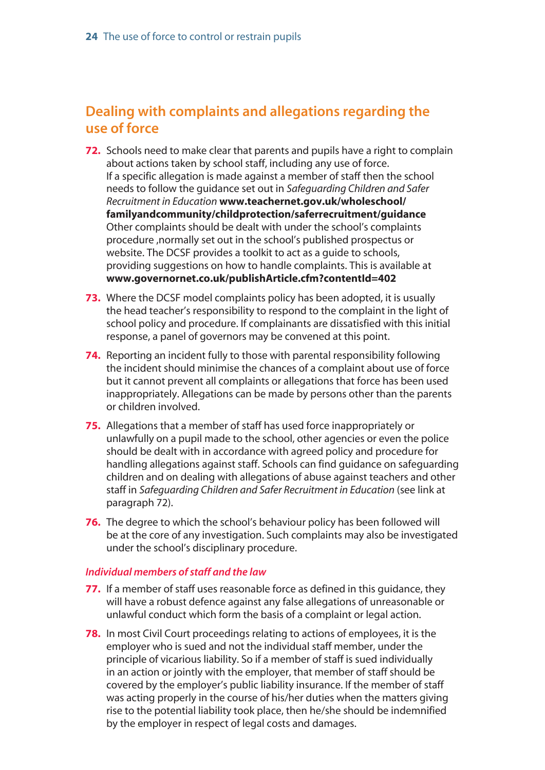## <span id="page-22-0"></span>**Dealing with complaints and allegations regarding the use of force**

- **72.** Schools need to make clear that parents and pupils have a right to complain about actions taken by school staff, including any use of force. If a specific allegation is made against a member of staff then the school needs to follow the guidance set out in *Safeguarding Children and Safer Recruitment in Education* **www.teachernet.gov.uk/wholeschool/ [familyandcommunity/childprotection/saferrecruitment/guidance](www.teachernet.gov.uk/wholeschool/familyandcommunity/childprotection/saferrecruitment/guidance)** Other complaints should be dealt with under the school's complaints procedure ,normally set out in the school's published prospectus or website. The DCSF provides a toolkit to act as a guide to schools, providing suggestions on how to handle complaints. This is available at **[www.governornet.co.uk/publishArticle.cfm?contentId=402](http://www.governornet.co.uk/publishArticle.cfm?contentId=402)**
- **73.** Where the DCSF model complaints policy has been adopted, it is usually the head teacher's responsibility to respond to the complaint in the light of school policy and procedure. If complainants are dissatisfied with this initial response, a panel of governors may be convened at this point.
- **74.** Reporting an incident fully to those with parental responsibility following the incident should minimise the chances of a complaint about use of force but it cannot prevent all complaints or allegations that force has been used inappropriately. Allegations can be made by persons other than the parents or children involved.
- **75.** Allegations that a member of staff has used force inappropriately or unlawfully on a pupil made to the school, other agencies or even the police should be dealt with in accordance with agreed policy and procedure for handling allegations against staff. Schools can find guidance on safeguarding children and on dealing with allegations of abuse against teachers and other staff in *Safeguarding Children and Safer Recruitment in Education* (see link at paragraph 72).
- **76.** The degree to which the school's behaviour policy has been followed will be at the core of any investigation. Such complaints may also be investigated under the school's disciplinary procedure.

#### *Individual members of staff and the law*

- **77.** If a member of staff uses reasonable force as defined in this guidance, they will have a robust defence against any false allegations of unreasonable or unlawful conduct which form the basis of a complaint or legal action.
- **78.** In most Civil Court proceedings relating to actions of employees, it is the employer who is sued and not the individual staff member, under the principle of vicarious liability. So if a member of staff is sued individually in an action or jointly with the employer, that member of staff should be covered by the employer's public liability insurance. If the member of staff was acting properly in the course of his/her duties when the matters giving rise to the potential liability took place, then he/she should be indemnified by the employer in respect of legal costs and damages.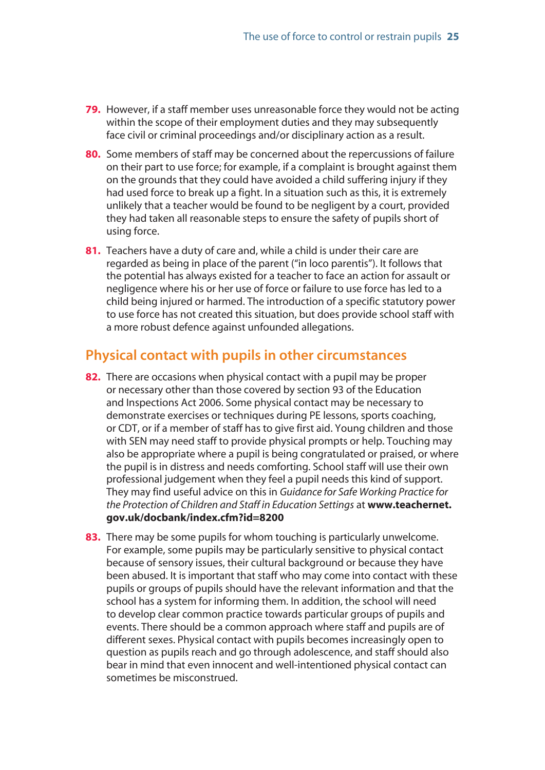- <span id="page-23-0"></span>**79.** However, if a staff member uses unreasonable force they would not be acting within the scope of their employment duties and they may subsequently face civil or criminal proceedings and/or disciplinary action as a result.
- **80.** Some members of staff may be concerned about the repercussions of failure on their part to use force; for example, if a complaint is brought against them on the grounds that they could have avoided a child suffering injury if they had used force to break up a fight. In a situation such as this, it is extremely unlikely that a teacher would be found to be negligent by a court, provided they had taken all reasonable steps to ensure the safety of pupils short of using force.
- **81.** Teachers have a duty of care and, while a child is under their care are regarded as being in place of the parent ("in loco parentis"). It follows that the potential has always existed for a teacher to face an action for assault or negligence where his or her use of force or failure to use force has led to a child being injured or harmed. The introduction of a specific statutory power to use force has not created this situation, but does provide school staff with a more robust defence against unfounded allegations.

### **Physical contact with pupils in other circumstances**

- **82.** There are occasions when physical contact with a pupil may be proper or necessary other than those covered by section 93 of the Education and Inspections Act 2006. Some physical contact may be necessary to demonstrate exercises or techniques during PE lessons, sports coaching, or CDT, or if a member of staff has to give first aid. Young children and those with SEN may need staff to provide physical prompts or help. Touching may also be appropriate where a pupil is being congratulated or praised, or where the pupil is in distress and needs comforting. School staff will use their own professional judgement when they feel a pupil needs this kind of support. They may find useful advice on this in *Guidance for Safe Working Practice for [the Protection of Children and Staff in Education Settings](www.teachernet.gov.uk/docbank/index.cfm?id=8200)* at **www.teachernet. gov.uk/docbank/index.cfm?id=8200**
- **83.** There may be some pupils for whom touching is particularly unwelcome. For example, some pupils may be particularly sensitive to physical contact because of sensory issues, their cultural background or because they have been abused. It is important that staff who may come into contact with these pupils or groups of pupils should have the relevant information and that the school has a system for informing them. In addition, the school will need to develop clear common practice towards particular groups of pupils and events. There should be a common approach where staff and pupils are of different sexes. Physical contact with pupils becomes increasingly open to question as pupils reach and go through adolescence, and staff should also bear in mind that even innocent and well-intentioned physical contact can sometimes be misconstrued.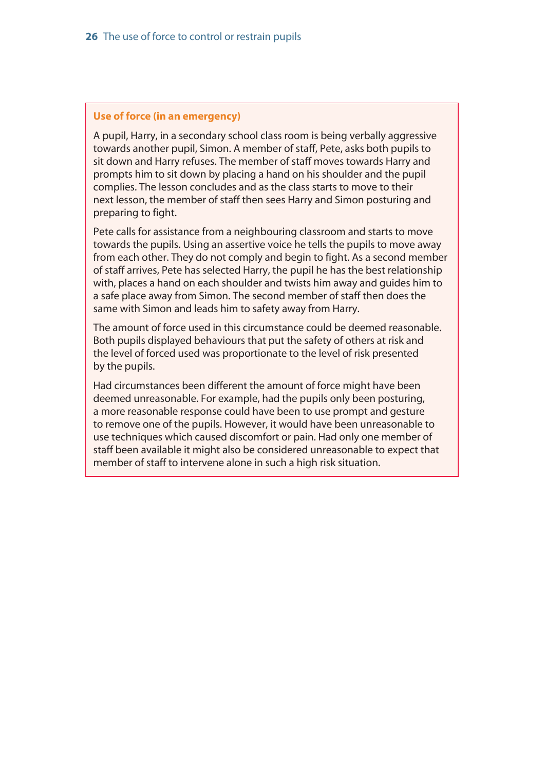#### **Use of force (in an emergency)**

A pupil, Harry, in a secondary school class room is being verbally aggressive towards another pupil, Simon. A member of staff, Pete, asks both pupils to sit down and Harry refuses. The member of staff moves towards Harry and prompts him to sit down by placing a hand on his shoulder and the pupil complies. The lesson concludes and as the class starts to move to their next lesson, the member of staff then sees Harry and Simon posturing and preparing to fight.

Pete calls for assistance from a neighbouring classroom and starts to move towards the pupils. Using an assertive voice he tells the pupils to move away from each other. They do not comply and begin to fight. As a second member of staff arrives, Pete has selected Harry, the pupil he has the best relationship with, places a hand on each shoulder and twists him away and guides him to a safe place away from Simon. The second member of staff then does the same with Simon and leads him to safety away from Harry.

The amount of force used in this circumstance could be deemed reasonable. Both pupils displayed behaviours that put the safety of others at risk and the level of forced used was proportionate to the level of risk presented by the pupils.

Had circumstances been different the amount of force might have been deemed unreasonable. For example, had the pupils only been posturing, a more reasonable response could have been to use prompt and gesture to remove one of the pupils. However, it would have been unreasonable to use techniques which caused discomfort or pain. Had only one member of staff been available it might also be considered unreasonable to expect that member of staff to intervene alone in such a high risk situation.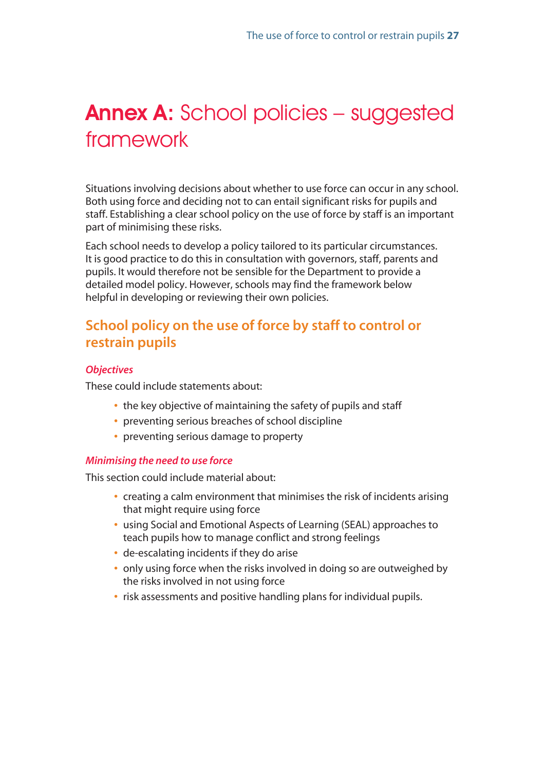## <span id="page-25-0"></span>Annex A: School policies – suggested framework

Situations involving decisions about whether to use force can occur in any school. Both using force and deciding not to can entail significant risks for pupils and staff. Establishing a clear school policy on the use of force by staff is an important part of minimising these risks.

Each school needs to develop a policy tailored to its particular circumstances. It is good practice to do this in consultation with governors, staff, parents and pupils. It would therefore not be sensible for the Department to provide a detailed model policy. However, schools may find the framework below helpful in developing or reviewing their own policies.

## **School policy on the use of force by staff to control or restrain pupils**

#### *Objectives*

These could include statements about:

- **•** the key objective of maintaining the safety of pupils and staff
- **•** preventing serious breaches of school discipline
- **•** preventing serious damage to property

#### *Minimising the need to use force*

This section could include material about:

- **•** creating a calm environment that minimises the risk of incidents arising that might require using force
- **•** using Social and Emotional Aspects of Learning (SEAL) approaches to teach pupils how to manage conflict and strong feelings
- **•** de-escalating incidents if they do arise
- **•** only using force when the risks involved in doing so are outweighed by the risks involved in not using force
- **•** risk assessments and positive handling plans for individual pupils.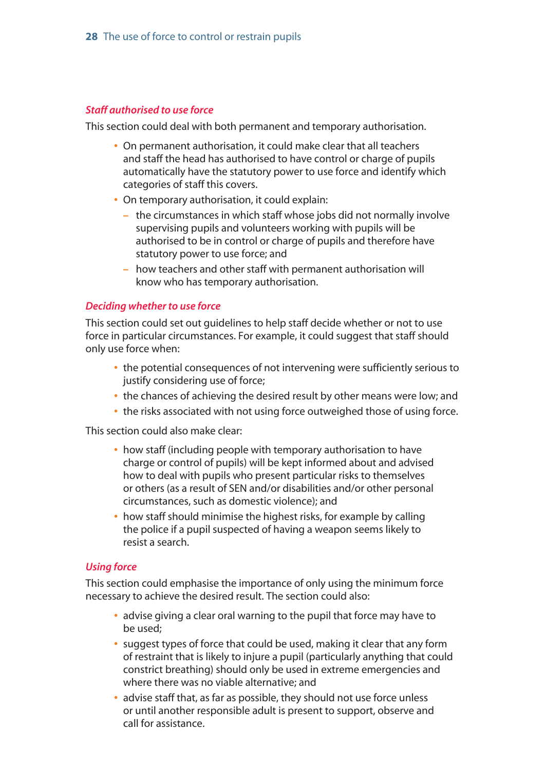#### *Staff authorised to use force*

This section could deal with both permanent and temporary authorisation.

- **•** On permanent authorisation, it could make clear that all teachers and staff the head has authorised to have control or charge of pupils automatically have the statutory power to use force and identify which categories of staff this covers.
- **•** On temporary authorisation, it could explain:
	- **–** the circumstances in which staff whose jobs did not normally involve supervising pupils and volunteers working with pupils will be authorised to be in control or charge of pupils and therefore have statutory power to use force; and
	- **–** how teachers and other staff with permanent authorisation will know who has temporary authorisation.

#### *Deciding whether to use force*

This section could set out guidelines to help staff decide whether or not to use force in particular circumstances. For example, it could suggest that staff should only use force when:

- **•** the potential consequences of not intervening were sufficiently serious to justify considering use of force;
- **•** the chances of achieving the desired result by other means were low; and
- **•** the risks associated with not using force outweighed those of using force.

This section could also make clear:

- **•** how staff (including people with temporary authorisation to have charge or control of pupils) will be kept informed about and advised how to deal with pupils who present particular risks to themselves or others (as a result of SEN and/or disabilities and/or other personal circumstances, such as domestic violence); and
- **•** how staff should minimise the highest risks, for example by calling the police if a pupil suspected of having a weapon seems likely to resist a search.

#### *Using force*

This section could emphasise the importance of only using the minimum force necessary to achieve the desired result. The section could also:

- **•** advise giving a clear oral warning to the pupil that force may have to be used;
- **•** suggest types of force that could be used, making it clear that any form of restraint that is likely to injure a pupil (particularly anything that could constrict breathing) should only be used in extreme emergencies and where there was no viable alternative; and
- **•** advise staff that, as far as possible, they should not use force unless or until another responsible adult is present to support, observe and call for assistance.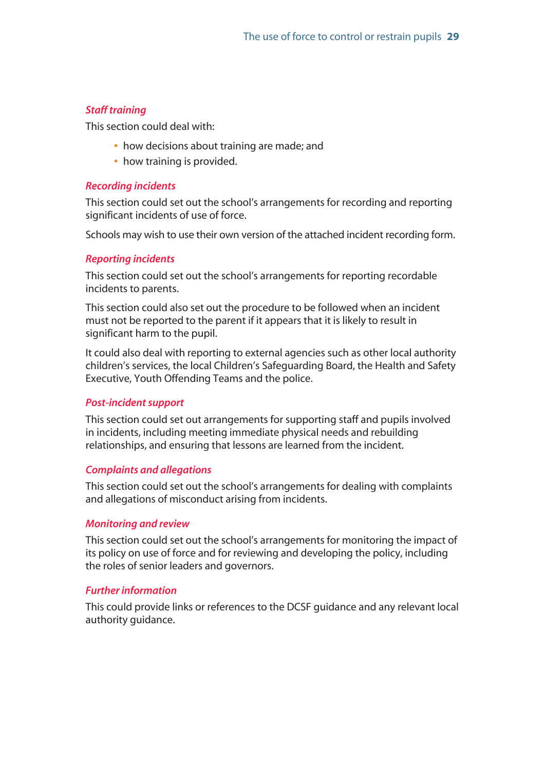#### *Staff training*

This section could deal with:

- **•** how decisions about training are made; and
- **•** how training is provided.

#### *Recording incidents*

This section could set out the school's arrangements for recording and reporting significant incidents of use of force.

Schools may wish to use their own version of the attached incident recording form.

#### *Reporting incidents*

This section could set out the school's arrangements for reporting recordable incidents to parents.

This section could also set out the procedure to be followed when an incident must not be reported to the parent if it appears that it is likely to result in significant harm to the pupil.

It could also deal with reporting to external agencies such as other local authority children's services, the local Children's Safeguarding Board, the Health and Safety Executive, Youth Offending Teams and the police.

#### *Post-incident support*

This section could set out arrangements for supporting staff and pupils involved in incidents, including meeting immediate physical needs and rebuilding relationships, and ensuring that lessons are learned from the incident.

#### *Complaints and allegations*

This section could set out the school's arrangements for dealing with complaints and allegations of misconduct arising from incidents.

#### *Monitoring and review*

This section could set out the school's arrangements for monitoring the impact of its policy on use of force and for reviewing and developing the policy, including the roles of senior leaders and governors.

#### *Further information*

This could provide links or references to the DCSF guidance and any relevant local authority guidance.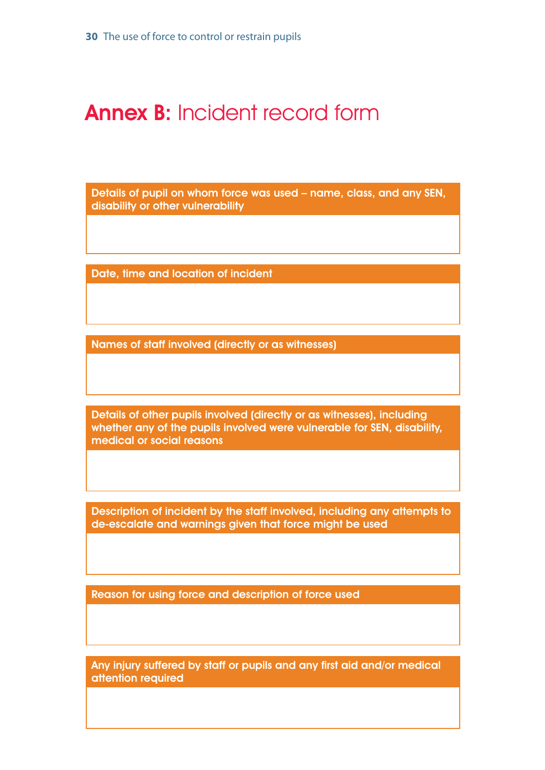## <span id="page-28-0"></span>Annex B: Incident record form

Details of pupil on whom force was used – name, class, and any SEN, disability or other vulnerability

Date, time and location of incident

Names of staff involved (directly or as witnesses)

Details of other pupils involved (directly or as witnesses), including whether any of the pupils involved were vulnerable for SEN, disability, medical or social reasons

Description of incident by the staff involved, including any attempts to de-escalate and warnings given that force might be used

Reason for using force and description of force used

Any injury suffered by staff or pupils and any first aid and/or medical attention required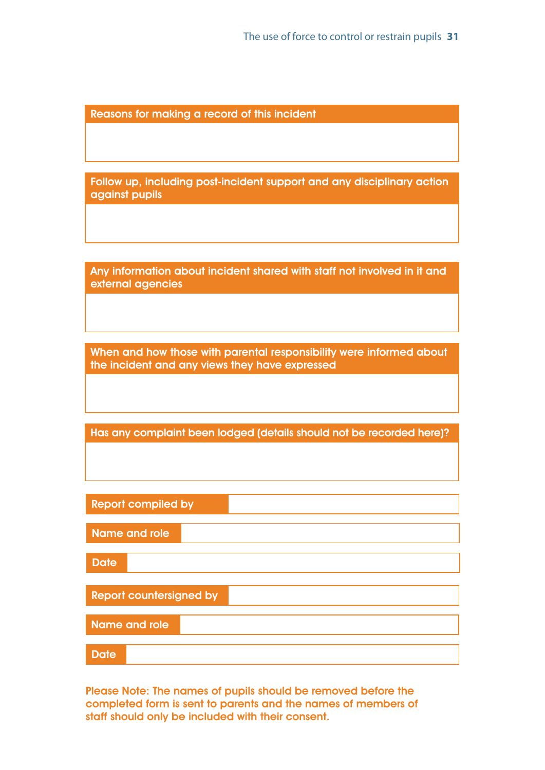Reasons for making a record of this incident

Follow up, including post-incident support and any disciplinary action against pupils

Any information about incident shared with staff not involved in it and external agencies

When and how those with parental responsibility were informed about the incident and any views they have expressed

Has any complaint been lodged (details should not be recorded here)?

| <b>Report compiled by</b>      |
|--------------------------------|
|                                |
| Name and role                  |
|                                |
| <b>Date</b>                    |
|                                |
| <b>Report countersigned by</b> |
|                                |
| <b>Name and role</b>           |
|                                |
| <b>Date</b>                    |

Please Note: The names of pupils should be removed before the completed form is sent to parents and the names of members of staff should only be included with their consent.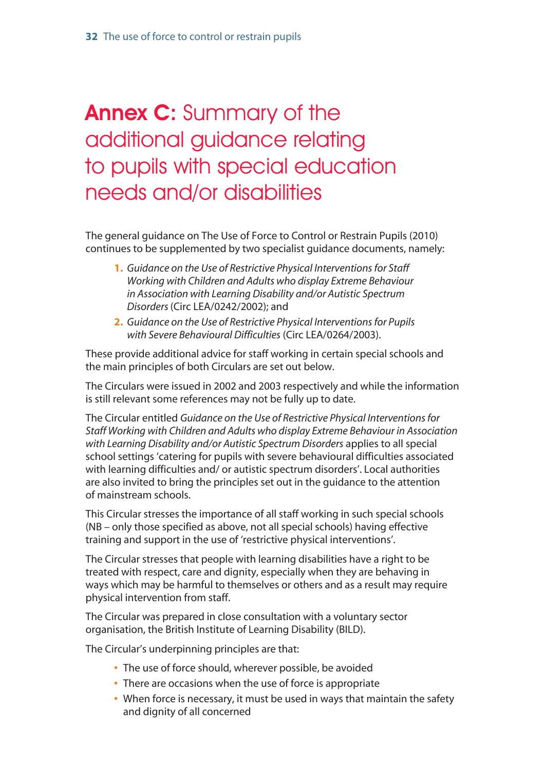## <span id="page-30-0"></span>Annex C: Summary of the additional guidance relating to pupils with special education needs and/or disabilities

The general guidance on The Use of Force to Control or Restrain Pupils (2010) continues to be supplemented by two specialist guidance documents, namely:

- **1.** *Guidance on the Use of Restrictive Physical Interventions for Staff Working with Children and Adults who display Extreme Behaviour in Association with Learning Disability and/or Autistic Spectrum Disorders* (Circ LEA/0242/2002); and
- **2.** *Guidance on the Use of Restrictive Physical Interventions for Pupils with Severe Behavioural Difficulties* (Circ LEA/0264/2003).

These provide additional advice for staff working in certain special schools and the main principles of both Circulars are set out below.

The Circulars were issued in 2002 and 2003 respectively and while the information is still relevant some references may not be fully up to date.

The Circular entitled *Guidance on the Use of Restrictive Physical Interventions for Staff Working with Children and Adults who display Extreme Behaviour in Association with Learning Disability and/or Autistic Spectrum Disorders* applies to all special school settings 'catering for pupils with severe behavioural difficulties associated with learning difficulties and/ or autistic spectrum disorders'. Local authorities are also invited to bring the principles set out in the guidance to the attention of mainstream schools.

This Circular stresses the importance of all staff working in such special schools (NB – only those specified as above, not all special schools) having effective training and support in the use of 'restrictive physical interventions'.

The Circular stresses that people with learning disabilities have a right to be treated with respect, care and dignity, especially when they are behaving in ways which may be harmful to themselves or others and as a result may require physical intervention from staff.

The Circular was prepared in close consultation with a voluntary sector organisation, the British Institute of Learning Disability (BILD).

The Circular's underpinning principles are that:

- **•** The use of force should, wherever possible, be avoided
- **•** There are occasions when the use of force is appropriate
- **•** When force is necessary, it must be used in ways that maintain the safety and dignity of all concerned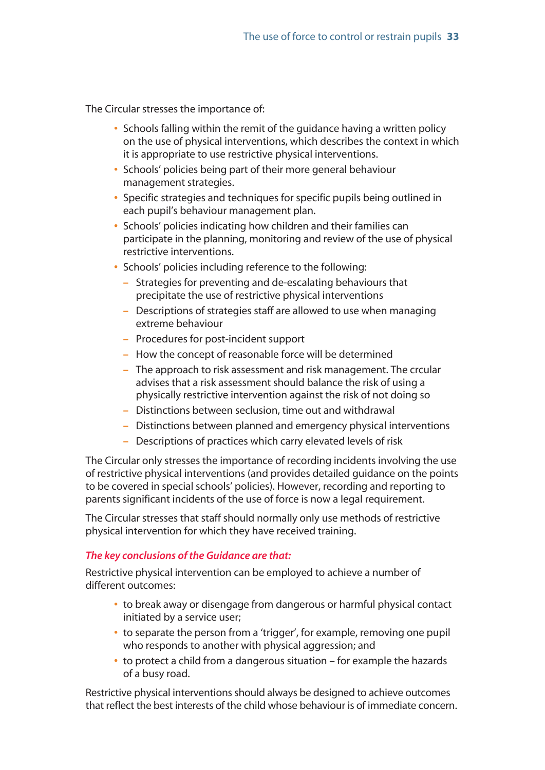The Circular stresses the importance of:

- **•** Schools falling within the remit of the guidance having a written policy on the use of physical interventions, which describes the context in which it is appropriate to use restrictive physical interventions.
- **•** Schools' policies being part of their more general behaviour management strategies.
- **•** Specific strategies and techniques for specific pupils being outlined in each pupil's behaviour management plan.
- **•** Schools' policies indicating how children and their families can participate in the planning, monitoring and review of the use of physical restrictive interventions.
- **•** Schools' policies including reference to the following:
	- **–** Strategies for preventing and de-escalating behaviours that precipitate the use of restrictive physical interventions
	- **–** Descriptions of strategies staff are allowed to use when managing extreme behaviour
	- **–** Procedures for post-incident support
	- **–** How the concept of reasonable force will be determined
	- **–** The approach to risk assessment and risk management. The crcular advises that a risk assessment should balance the risk of using a physically restrictive intervention against the risk of not doing so
	- **–** Distinctions between seclusion, time out and withdrawal
	- **–** Distinctions between planned and emergency physical interventions
	- **–** Descriptions of practices which carry elevated levels of risk

The Circular only stresses the importance of recording incidents involving the use of restrictive physical interventions (and provides detailed guidance on the points to be covered in special schools' policies). However, recording and reporting to parents significant incidents of the use of force is now a legal requirement.

The Circular stresses that staff should normally only use methods of restrictive physical intervention for which they have received training.

#### *The key conclusions of the Guidance are that:*

Restrictive physical intervention can be employed to achieve a number of different outcomes:

- **•** to break away or disengage from dangerous or harmful physical contact initiated by a service user;
- **•** to separate the person from a 'trigger', for example, removing one pupil who responds to another with physical aggression; and
- **•** to protect a child from a dangerous situation for example the hazards of a busy road.

Restrictive physical interventions should always be designed to achieve outcomes that reflect the best interests of the child whose behaviour is of immediate concern.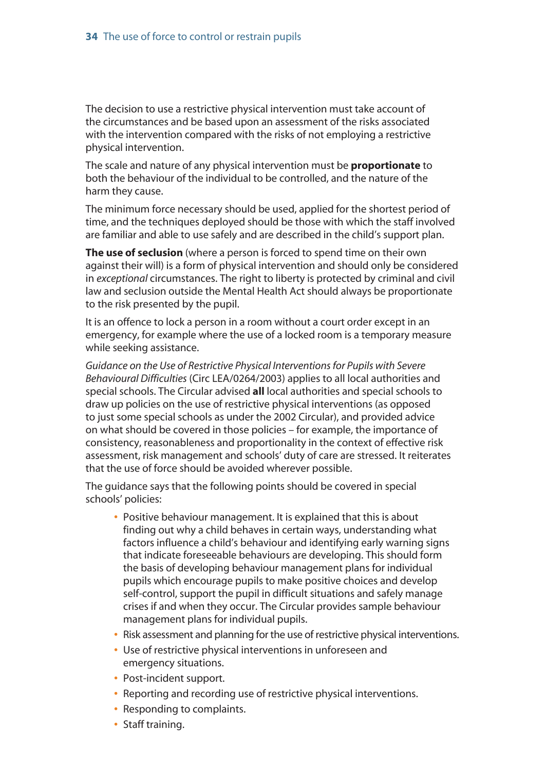The decision to use a restrictive physical intervention must take account of the circumstances and be based upon an assessment of the risks associated with the intervention compared with the risks of not employing a restrictive physical intervention.

The scale and nature of any physical intervention must be **proportionate** to both the behaviour of the individual to be controlled, and the nature of the harm they cause.

The minimum force necessary should be used, applied for the shortest period of time, and the techniques deployed should be those with which the staff involved are familiar and able to use safely and are described in the child's support plan.

**The use of seclusion** (where a person is forced to spend time on their own against their will) is a form of physical intervention and should only be considered in *exceptional* circumstances. The right to liberty is protected by criminal and civil law and seclusion outside the Mental Health Act should always be proportionate to the risk presented by the pupil.

It is an offence to lock a person in a room without a court order except in an emergency, for example where the use of a locked room is a temporary measure while seeking assistance.

*Guidance on the Use of Restrictive Physical Interventions for Pupils with Severe Behavioural Difficulties* (Circ LEA/0264/2003) applies to all local authorities and special schools. The Circular advised **all** local authorities and special schools to draw up policies on the use of restrictive physical interventions (as opposed to just some special schools as under the 2002 Circular), and provided advice on what should be covered in those policies – for example, the importance of consistency, reasonableness and proportionality in the context of effective risk assessment, risk management and schools' duty of care are stressed. It reiterates that the use of force should be avoided wherever possible.

The guidance says that the following points should be covered in special schools' policies:

- **•** Positive behaviour management. It is explained that this is about finding out why a child behaves in certain ways, understanding what factors influence a child's behaviour and identifying early warning signs that indicate foreseeable behaviours are developing. This should form the basis of developing behaviour management plans for individual pupils which encourage pupils to make positive choices and develop self-control, support the pupil in difficult situations and safely manage crises if and when they occur. The Circular provides sample behaviour management plans for individual pupils.
- **•** Risk assessment and planning for the use of restrictive physical interventions.
- **•** Use of restrictive physical interventions in unforeseen and emergency situations.
- **•** Post-incident support.
- **•** Reporting and recording use of restrictive physical interventions.
- **•** Responding to complaints.
- **•** Staff training.